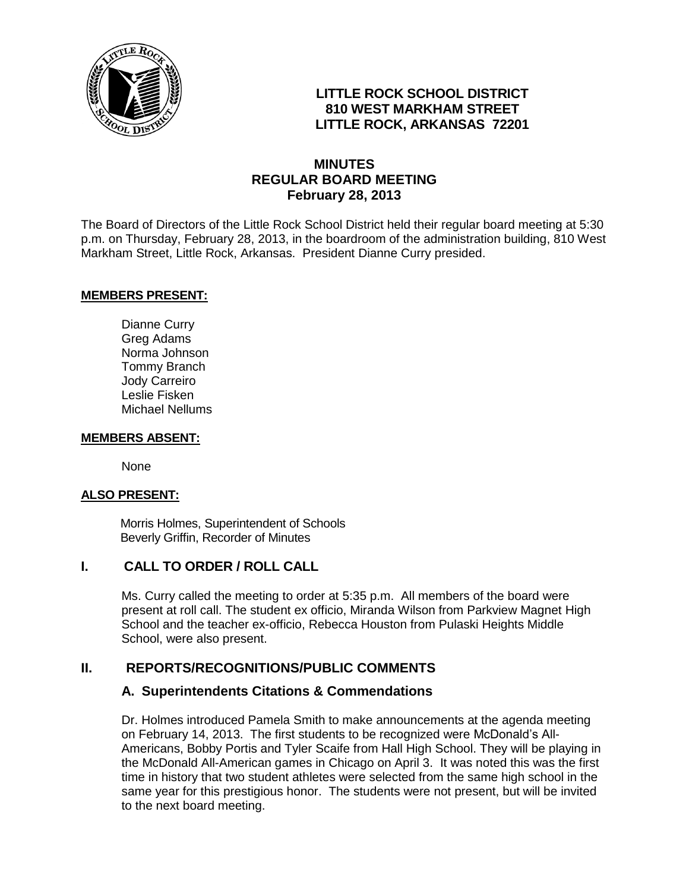

# **LITTLE ROCK SCHOOL DISTRICT 810 WEST MARKHAM STREET LITTLE ROCK, ARKANSAS 72201**

# **MINUTES REGULAR BOARD MEETING February 28, 2013**

The Board of Directors of the Little Rock School District held their regular board meeting at 5:30 p.m. on Thursday, February 28, 2013, in the boardroom of the administration building, 810 West Markham Street, Little Rock, Arkansas. President Dianne Curry presided.

#### **MEMBERS PRESENT:**

Dianne Curry Greg Adams Norma Johnson Tommy Branch Jody Carreiro Leslie Fisken Michael Nellums

#### **MEMBERS ABSENT:**

None

## **ALSO PRESENT:**

 Morris Holmes, Superintendent of Schools Beverly Griffin, Recorder of Minutes

# **I. CALL TO ORDER / ROLL CALL**

Ms. Curry called the meeting to order at 5:35 p.m. All members of the board were present at roll call. The student ex officio, Miranda Wilson from Parkview Magnet High School and the teacher ex-officio, Rebecca Houston from Pulaski Heights Middle School, were also present.

## **II. REPORTS/RECOGNITIONS/PUBLIC COMMENTS**

## **A. Superintendents Citations & Commendations**

Dr. Holmes introduced Pamela Smith to make announcements at the agenda meeting on February 14, 2013. The first students to be recognized were McDonald's All-Americans, Bobby Portis and Tyler Scaife from Hall High School. They will be playing in the McDonald All-American games in Chicago on April 3. It was noted this was the first time in history that two student athletes were selected from the same high school in the same year for this prestigious honor. The students were not present, but will be invited to the next board meeting.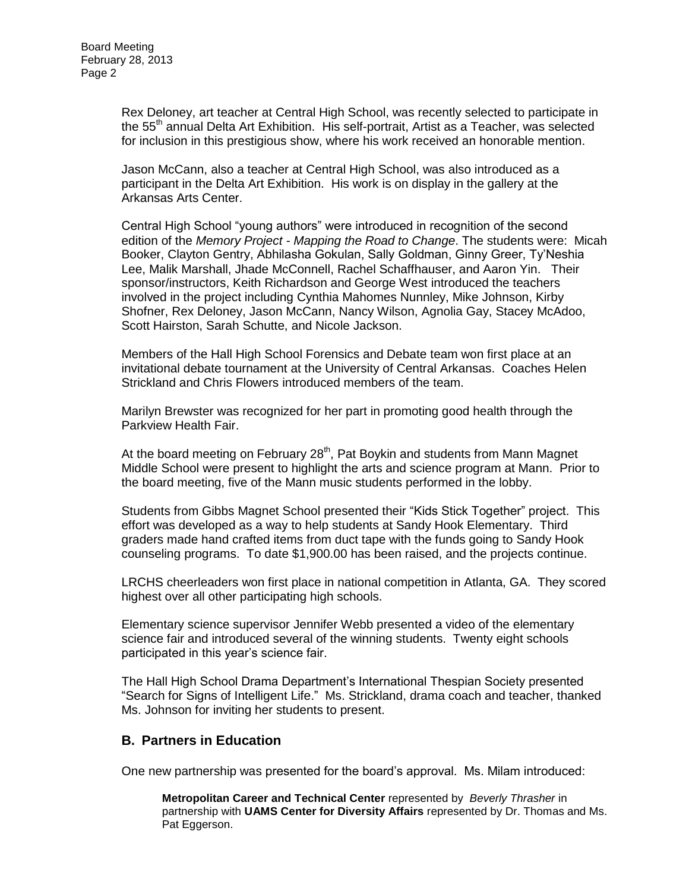Rex Deloney, art teacher at Central High School, was recently selected to participate in the 55<sup>th</sup> annual Delta Art Exhibition. His self-portrait, Artist as a Teacher, was selected for inclusion in this prestigious show, where his work received an honorable mention.

Jason McCann, also a teacher at Central High School, was also introduced as a participant in the Delta Art Exhibition. His work is on display in the gallery at the Arkansas Arts Center.

Central High School "young authors" were introduced in recognition of the second edition of the *Memory Project - Mapping the Road to Change*. The students were: Micah Booker, Clayton Gentry, Abhilasha Gokulan, Sally Goldman, Ginny Greer, Ty'Neshia Lee, Malik Marshall, Jhade McConnell, Rachel Schaffhauser, and Aaron Yin. Their sponsor/instructors, Keith Richardson and George West introduced the teachers involved in the project including Cynthia Mahomes Nunnley, Mike Johnson, Kirby Shofner, Rex Deloney, Jason McCann, Nancy Wilson, Agnolia Gay, Stacey McAdoo, Scott Hairston, Sarah Schutte, and Nicole Jackson.

Members of the Hall High School Forensics and Debate team won first place at an invitational debate tournament at the University of Central Arkansas. Coaches Helen Strickland and Chris Flowers introduced members of the team.

Marilyn Brewster was recognized for her part in promoting good health through the Parkview Health Fair.

At the board meeting on February 28<sup>th</sup>, Pat Boykin and students from Mann Magnet Middle School were present to highlight the arts and science program at Mann. Prior to the board meeting, five of the Mann music students performed in the lobby.

Students from Gibbs Magnet School presented their "Kids Stick Together" project. This effort was developed as a way to help students at Sandy Hook Elementary. Third graders made hand crafted items from duct tape with the funds going to Sandy Hook counseling programs. To date \$1,900.00 has been raised, and the projects continue.

LRCHS cheerleaders won first place in national competition in Atlanta, GA. They scored highest over all other participating high schools.

Elementary science supervisor Jennifer Webb presented a video of the elementary science fair and introduced several of the winning students. Twenty eight schools participated in this year's science fair.

The Hall High School Drama Department's International Thespian Society presented "Search for Signs of Intelligent Life." Ms. Strickland, drama coach and teacher, thanked Ms. Johnson for inviting her students to present.

# **B. Partners in Education**

One new partnership was presented for the board's approval. Ms. Milam introduced:

**Metropolitan Career and Technical Center** represented by *Beverly Thrasher* in partnership with **UAMS Center for Diversity Affairs** represented by Dr. Thomas and Ms. Pat Eggerson.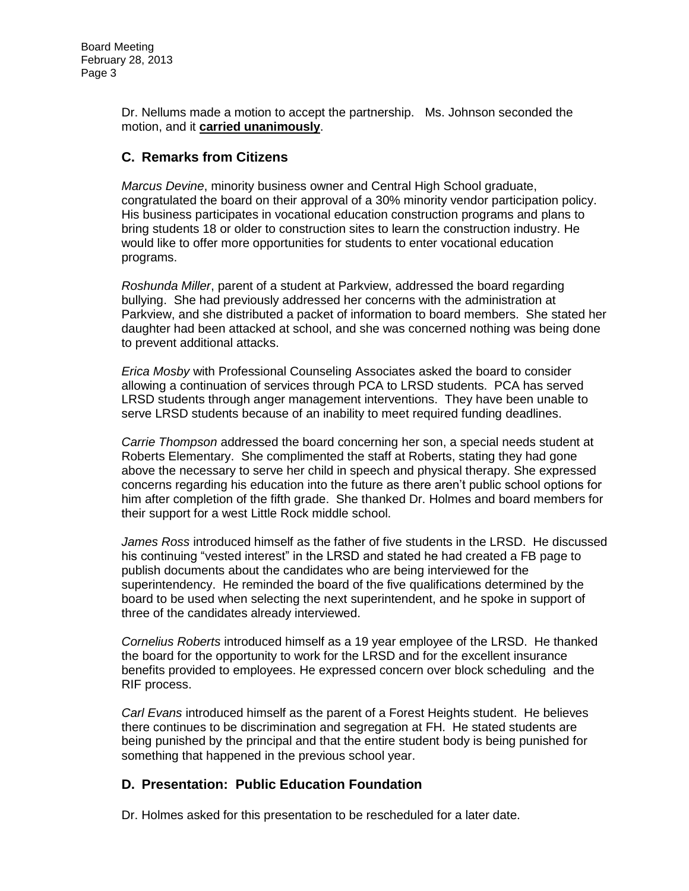Dr. Nellums made a motion to accept the partnership. Ms. Johnson seconded the motion, and it **carried unanimously**.

# **C. Remarks from Citizens**

*Marcus Devine*, minority business owner and Central High School graduate, congratulated the board on their approval of a 30% minority vendor participation policy. His business participates in vocational education construction programs and plans to bring students 18 or older to construction sites to learn the construction industry. He would like to offer more opportunities for students to enter vocational education programs.

*Roshunda Miller*, parent of a student at Parkview, addressed the board regarding bullying. She had previously addressed her concerns with the administration at Parkview, and she distributed a packet of information to board members. She stated her daughter had been attacked at school, and she was concerned nothing was being done to prevent additional attacks.

*Erica Mosby* with Professional Counseling Associates asked the board to consider allowing a continuation of services through PCA to LRSD students. PCA has served LRSD students through anger management interventions. They have been unable to serve LRSD students because of an inability to meet required funding deadlines.

*Carrie Thompson* addressed the board concerning her son, a special needs student at Roberts Elementary. She complimented the staff at Roberts, stating they had gone above the necessary to serve her child in speech and physical therapy. She expressed concerns regarding his education into the future as there aren't public school options for him after completion of the fifth grade. She thanked Dr. Holmes and board members for their support for a west Little Rock middle school.

*James Ross* introduced himself as the father of five students in the LRSD. He discussed his continuing "vested interest" in the LRSD and stated he had created a FB page to publish documents about the candidates who are being interviewed for the superintendency. He reminded the board of the five qualifications determined by the board to be used when selecting the next superintendent, and he spoke in support of three of the candidates already interviewed.

*Cornelius Roberts* introduced himself as a 19 year employee of the LRSD. He thanked the board for the opportunity to work for the LRSD and for the excellent insurance benefits provided to employees. He expressed concern over block scheduling and the RIF process.

*Carl Evans* introduced himself as the parent of a Forest Heights student. He believes there continues to be discrimination and segregation at FH. He stated students are being punished by the principal and that the entire student body is being punished for something that happened in the previous school year.

# **D. Presentation: Public Education Foundation**

Dr. Holmes asked for this presentation to be rescheduled for a later date.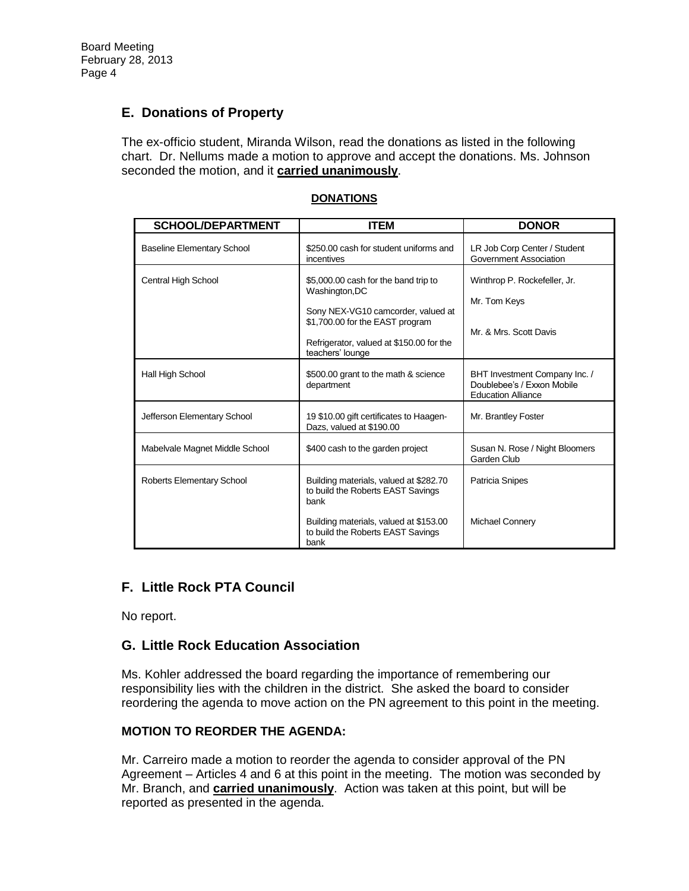# **E. Donations of Property**

The ex-officio student, Miranda Wilson, read the donations as listed in the following chart. Dr. Nellums made a motion to approve and accept the donations. Ms. Johnson seconded the motion, and it **carried unanimously**.

| <b>SCHOOL/DEPARTMENT</b>          | <b>ITEM</b>                                                                                                                           | <b>DONOR</b>                                                                             |
|-----------------------------------|---------------------------------------------------------------------------------------------------------------------------------------|------------------------------------------------------------------------------------------|
| <b>Baseline Elementary School</b> | \$250.00 cash for student uniforms and<br>incentives                                                                                  | LR Job Corp Center / Student<br>Government Association                                   |
| Central High School               | \$5,000.00 cash for the band trip to<br>Washington, DC                                                                                | Winthrop P. Rockefeller, Jr.<br>Mr. Tom Keys                                             |
|                                   | Sony NEX-VG10 camcorder, valued at<br>\$1,700.00 for the EAST program<br>Refrigerator, valued at \$150.00 for the<br>teachers' lounge | Mr. & Mrs. Scott Davis                                                                   |
| Hall High School                  | \$500.00 grant to the math & science<br>department                                                                                    | BHT Investment Company Inc. /<br>Doublebee's / Exxon Mobile<br><b>Education Alliance</b> |
| Jefferson Elementary School       | 19 \$10.00 gift certificates to Haagen-<br>Dazs, valued at \$190.00                                                                   | Mr. Brantley Foster                                                                      |
| Mabelvale Magnet Middle School    | \$400 cash to the garden project                                                                                                      | Susan N. Rose / Night Bloomers<br>Garden Club                                            |
| Roberts Elementary School         | Building materials, valued at \$282.70<br>to build the Roberts EAST Savings<br>bank                                                   | Patricia Snipes                                                                          |
|                                   | Building materials, valued at \$153.00<br>to build the Roberts EAST Savings<br>bank                                                   | Michael Connery                                                                          |

#### **DONATIONS**

# **F. Little Rock PTA Council**

No report.

# **G. Little Rock Education Association**

Ms. Kohler addressed the board regarding the importance of remembering our responsibility lies with the children in the district. She asked the board to consider reordering the agenda to move action on the PN agreement to this point in the meeting.

# **MOTION TO REORDER THE AGENDA:**

Mr. Carreiro made a motion to reorder the agenda to consider approval of the PN Agreement – Articles 4 and 6 at this point in the meeting. The motion was seconded by Mr. Branch, and **carried unanimously**. Action was taken at this point, but will be reported as presented in the agenda.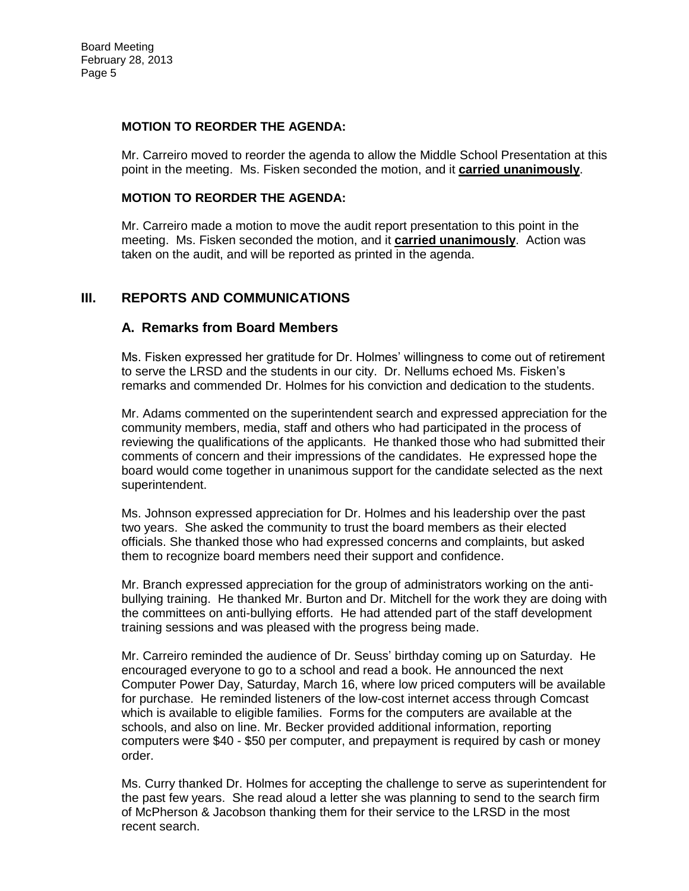#### **MOTION TO REORDER THE AGENDA:**

Mr. Carreiro moved to reorder the agenda to allow the Middle School Presentation at this point in the meeting. Ms. Fisken seconded the motion, and it **carried unanimously**.

#### **MOTION TO REORDER THE AGENDA:**

Mr. Carreiro made a motion to move the audit report presentation to this point in the meeting. Ms. Fisken seconded the motion, and it **carried unanimously**. Action was taken on the audit, and will be reported as printed in the agenda.

# **III. REPORTS AND COMMUNICATIONS**

## **A. Remarks from Board Members**

Ms. Fisken expressed her gratitude for Dr. Holmes' willingness to come out of retirement to serve the LRSD and the students in our city. Dr. Nellums echoed Ms. Fisken's remarks and commended Dr. Holmes for his conviction and dedication to the students.

Mr. Adams commented on the superintendent search and expressed appreciation for the community members, media, staff and others who had participated in the process of reviewing the qualifications of the applicants. He thanked those who had submitted their comments of concern and their impressions of the candidates. He expressed hope the board would come together in unanimous support for the candidate selected as the next superintendent.

Ms. Johnson expressed appreciation for Dr. Holmes and his leadership over the past two years. She asked the community to trust the board members as their elected officials. She thanked those who had expressed concerns and complaints, but asked them to recognize board members need their support and confidence.

Mr. Branch expressed appreciation for the group of administrators working on the antibullying training. He thanked Mr. Burton and Dr. Mitchell for the work they are doing with the committees on anti-bullying efforts. He had attended part of the staff development training sessions and was pleased with the progress being made.

Mr. Carreiro reminded the audience of Dr. Seuss' birthday coming up on Saturday. He encouraged everyone to go to a school and read a book. He announced the next Computer Power Day, Saturday, March 16, where low priced computers will be available for purchase. He reminded listeners of the low-cost internet access through Comcast which is available to eligible families. Forms for the computers are available at the schools, and also on line. Mr. Becker provided additional information, reporting computers were \$40 - \$50 per computer, and prepayment is required by cash or money order.

Ms. Curry thanked Dr. Holmes for accepting the challenge to serve as superintendent for the past few years. She read aloud a letter she was planning to send to the search firm of McPherson & Jacobson thanking them for their service to the LRSD in the most recent search.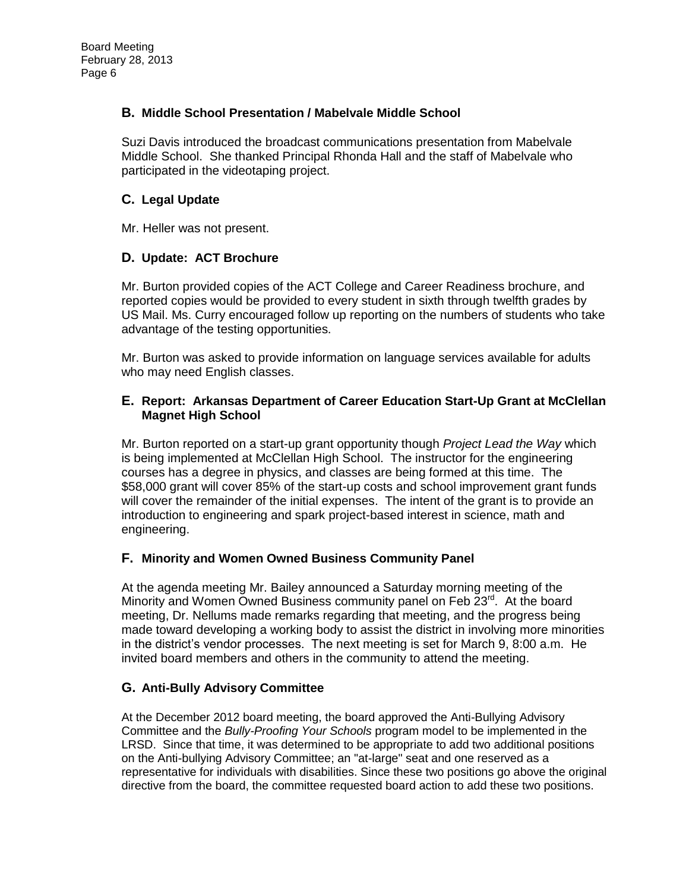## **B. Middle School Presentation / Mabelvale Middle School**

Suzi Davis introduced the broadcast communications presentation from Mabelvale Middle School. She thanked Principal Rhonda Hall and the staff of Mabelvale who participated in the videotaping project.

## **C. Legal Update**

Mr. Heller was not present.

## **D. Update: ACT Brochure**

Mr. Burton provided copies of the ACT College and Career Readiness brochure, and reported copies would be provided to every student in sixth through twelfth grades by US Mail. Ms. Curry encouraged follow up reporting on the numbers of students who take advantage of the testing opportunities.

Mr. Burton was asked to provide information on language services available for adults who may need English classes.

#### **E. Report: Arkansas Department of Career Education Start-Up Grant at McClellan Magnet High School**

Mr. Burton reported on a start-up grant opportunity though *Project Lead the Way* which is being implemented at McClellan High School. The instructor for the engineering courses has a degree in physics, and classes are being formed at this time. The \$58,000 grant will cover 85% of the start-up costs and school improvement grant funds will cover the remainder of the initial expenses. The intent of the grant is to provide an introduction to engineering and spark project-based interest in science, math and engineering.

## **F. Minority and Women Owned Business Community Panel**

At the agenda meeting Mr. Bailey announced a Saturday morning meeting of the Minority and Women Owned Business community panel on Feb 23<sup>rd</sup>. At the board meeting, Dr. Nellums made remarks regarding that meeting, and the progress being made toward developing a working body to assist the district in involving more minorities in the district's vendor processes. The next meeting is set for March 9, 8:00 a.m. He invited board members and others in the community to attend the meeting.

## **G. Anti-Bully Advisory Committee**

At the December 2012 board meeting, the board approved the Anti-Bullying Advisory Committee and the *Bully-Proofing Your Schools* program model to be implemented in the LRSD. Since that time, it was determined to be appropriate to add two additional positions on the Anti-bullying Advisory Committee; an "at-large" seat and one reserved as a representative for individuals with disabilities. Since these two positions go above the original directive from the board, the committee requested board action to add these two positions.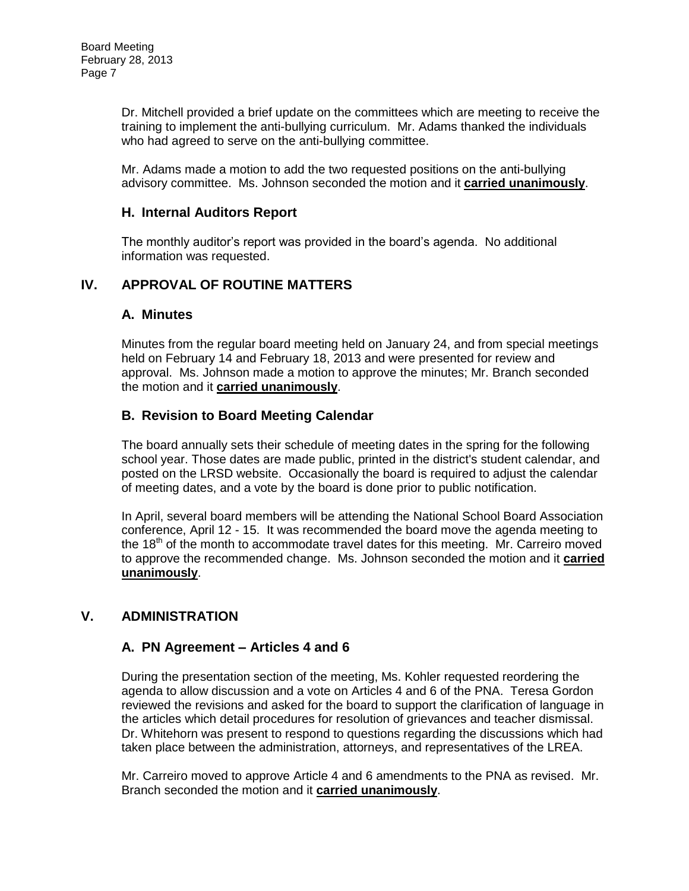Dr. Mitchell provided a brief update on the committees which are meeting to receive the training to implement the anti-bullying curriculum. Mr. Adams thanked the individuals who had agreed to serve on the anti-bullying committee.

Mr. Adams made a motion to add the two requested positions on the anti-bullying advisory committee. Ms. Johnson seconded the motion and it **carried unanimously**.

# **H. Internal Auditors Report**

The monthly auditor's report was provided in the board's agenda. No additional information was requested.

# **IV. APPROVAL OF ROUTINE MATTERS**

# **A. Minutes**

Minutes from the regular board meeting held on January 24, and from special meetings held on February 14 and February 18, 2013 and were presented for review and approval. Ms. Johnson made a motion to approve the minutes; Mr. Branch seconded the motion and it **carried unanimously**.

# **B. Revision to Board Meeting Calendar**

The board annually sets their schedule of meeting dates in the spring for the following school year. Those dates are made public, printed in the district's student calendar, and posted on the LRSD website. Occasionally the board is required to adjust the calendar of meeting dates, and a vote by the board is done prior to public notification.

In April, several board members will be attending the National School Board Association conference, April 12 - 15. It was recommended the board move the agenda meeting to the 18<sup>th</sup> of the month to accommodate travel dates for this meeting. Mr. Carreiro moved to approve the recommended change. Ms. Johnson seconded the motion and it **carried unanimously**.

# **V. ADMINISTRATION**

## **A. PN Agreement – Articles 4 and 6**

During the presentation section of the meeting, Ms. Kohler requested reordering the agenda to allow discussion and a vote on Articles 4 and 6 of the PNA. Teresa Gordon reviewed the revisions and asked for the board to support the clarification of language in the articles which detail procedures for resolution of grievances and teacher dismissal. Dr. Whitehorn was present to respond to questions regarding the discussions which had taken place between the administration, attorneys, and representatives of the LREA.

Mr. Carreiro moved to approve Article 4 and 6 amendments to the PNA as revised. Mr. Branch seconded the motion and it **carried unanimously**.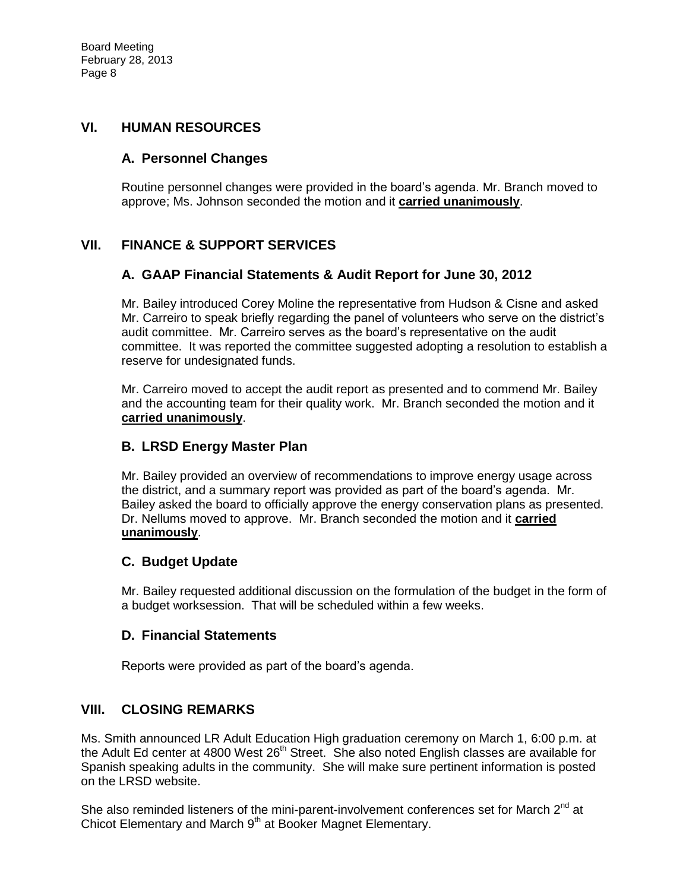# **VI. HUMAN RESOURCES**

## **A. Personnel Changes**

Routine personnel changes were provided in the board's agenda. Mr. Branch moved to approve; Ms. Johnson seconded the motion and it **carried unanimously**.

# **VII. FINANCE & SUPPORT SERVICES**

# **A. GAAP Financial Statements & Audit Report for June 30, 2012**

Mr. Bailey introduced Corey Moline the representative from Hudson & Cisne and asked Mr. Carreiro to speak briefly regarding the panel of volunteers who serve on the district's audit committee. Mr. Carreiro serves as the board's representative on the audit committee. It was reported the committee suggested adopting a resolution to establish a reserve for undesignated funds.

Mr. Carreiro moved to accept the audit report as presented and to commend Mr. Bailey and the accounting team for their quality work. Mr. Branch seconded the motion and it **carried unanimously**.

## **B. LRSD Energy Master Plan**

Mr. Bailey provided an overview of recommendations to improve energy usage across the district, and a summary report was provided as part of the board's agenda. Mr. Bailey asked the board to officially approve the energy conservation plans as presented. Dr. Nellums moved to approve. Mr. Branch seconded the motion and it **carried unanimously**.

## **C. Budget Update**

Mr. Bailey requested additional discussion on the formulation of the budget in the form of a budget worksession. That will be scheduled within a few weeks.

## **D. Financial Statements**

Reports were provided as part of the board's agenda.

## **VIII. CLOSING REMARKS**

Ms. Smith announced LR Adult Education High graduation ceremony on March 1, 6:00 p.m. at the Adult Ed center at 4800 West  $26<sup>th</sup>$  Street. She also noted English classes are available for Spanish speaking adults in the community. She will make sure pertinent information is posted on the LRSD website.

She also reminded listeners of the mini-parent-involvement conferences set for March  $2^{nd}$  at Chicot Elementary and March 9<sup>th</sup> at Booker Magnet Elementary.